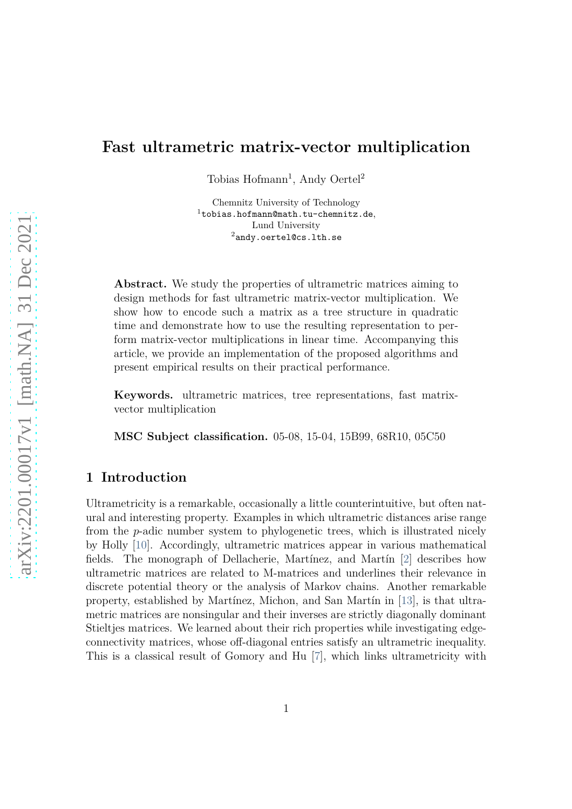# **Fast ultrametric matrix-vector multiplication**

Tobias Hofmann<sup>1</sup>, Andy Oertel<sup>2</sup>

Chemnitz University of Technology  $1$ tobias.hofmann@math.tu-chemnitz.de, Lund University <sup>2</sup>andy.oertel@cs.lth.se

Abstract. We study the properties of ultrametric matrices aiming to design methods for fast ultrametric matrix-vector multiplication. We show how to encode such a matrix as a tree structure in quadratic time and demonstrate how to use the resulting representation to perform matrix-vector multiplications in linear time. Accompanying this article, we provide an implementation of the proposed algorithms and present empirical results on their practical performance.

**Keywords.** ultrametric matrices, tree representations, fast matrixvector multiplication

**MSC Subject classification.** 05-08, 15-04, 15B99, 68R10, 05C50

## **1 Introduction**

Ultrametricity is a remarkable, occasionally a little counterintuitive, but often natural and interesting property. Examples in which ultrametric distances arise range from the *p*-adic number system to phylogenetic trees, which is illustrated nicely by Holly [\[10\]](#page-13-0). Accordingly, ultrametric matrices appear in various mathematical fields. The monograph of Dellacherie, Martínez, and Martín [\[2\]](#page-12-0) describes how ultrametric matrices are related to M-matrices and underlines their relevance in discrete potential theory or the analysis of Markov chains. Another remarkable property, established by Martínez, Michon, and San Martín in [\[13\]](#page-13-1), is that ultrametric matrices are nonsingular and their inverses are strictly diagonally dominant Stieltjes matrices. We learned about their rich properties while investigating edgeconnectivity matrices, whose off-diagonal entries satisfy an ultrametric inequality. This is a classical result of Gomory and Hu [\[7\]](#page-12-1), which links ultrametricity with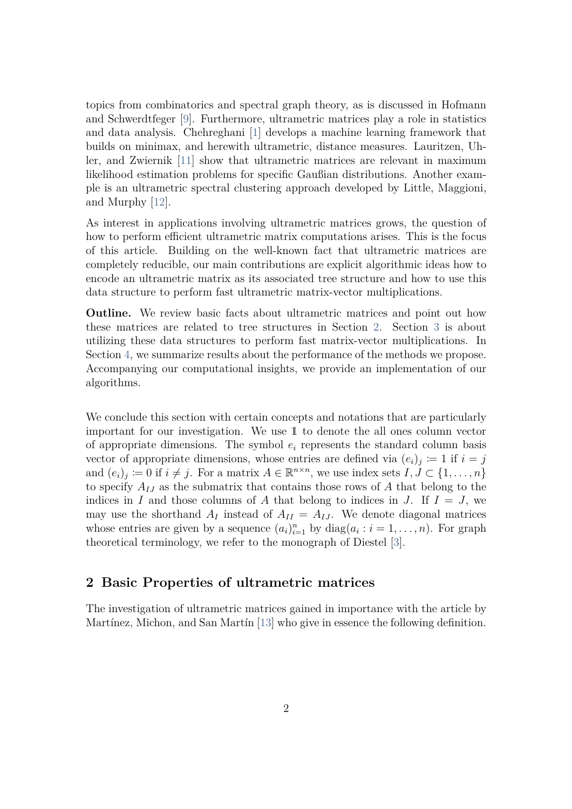topics from combinatorics and spectral graph theory, as is discussed in Hofmann and Schwerdtfeger [\[9\]](#page-12-2). Furthermore, ultrametric matrices play a role in statistics and data analysis. Chehreghani [\[1\]](#page-12-3) develops a machine learning framework that builds on minimax, and herewith ultrametric, distance measures. Lauritzen, Uhler, and Zwiernik [\[11\]](#page-13-2) show that ultrametric matrices are relevant in maximum likelihood estimation problems for specific Gaußian distributions. Another example is an ultrametric spectral clustering approach developed by Little, Maggioni, and Murphy [\[12\]](#page-13-3).

As interest in applications involving ultrametric matrices grows, the question of how to perform efficient ultrametric matrix computations arises. This is the focus of this article. Building on the well-known fact that ultrametric matrices are completely reducible, our main contributions are explicit algorithmic ideas how to encode an ultrametric matrix as its associated tree structure and how to use this data structure to perform fast ultrametric matrix-vector multiplications.

**Outline.** We review basic facts about ultrametric matrices and point out how these matrices are related to tree structures in Section [2.](#page-1-0) Section [3](#page-6-0) is about utilizing these data structures to perform fast matrix-vector multiplications. In Section [4,](#page-9-0) we summarize results about the performance of the methods we propose. Accompanying our computational insights, we provide an implementation of our algorithms.

We conclude this section with certain concepts and notations that are particularly important for our investigation. We use 1 to denote the all ones column vector of appropriate dimensions. The symbol  $e_i$  represents the standard column basis vector of appropriate dimensions, whose entries are defined via  $(e_i)_j \coloneqq 1$  if  $i = j$ and  $(e_i)_j := 0$  if  $i \neq j$ . For a matrix  $A \in \mathbb{R}^{n \times n}$ , we use index sets  $I, J \subset \{1, \ldots, n\}$ to specify *AIJ* as the submatrix that contains those rows of *A* that belong to the indices in *I* and those columns of *A* that belong to indices in *J*. If  $I = J$ , we may use the shorthand  $A_I$  instead of  $A_{II} = A_{IJ}$ . We denote diagonal matrices whose entries are given by a sequence  $(a_i)_{i=1}^n$  by  $diag(a_i : i = 1, ..., n)$ . For graph theoretical terminology, we refer to the monograph of Diestel [\[3\]](#page-12-4).

#### <span id="page-1-0"></span>**2 Basic Properties of ultrametric matrices**

The investigation of ultrametric matrices gained in importance with the article by Martínez, Michon, and San Martín [\[13\]](#page-13-1) who give in essence the following definition.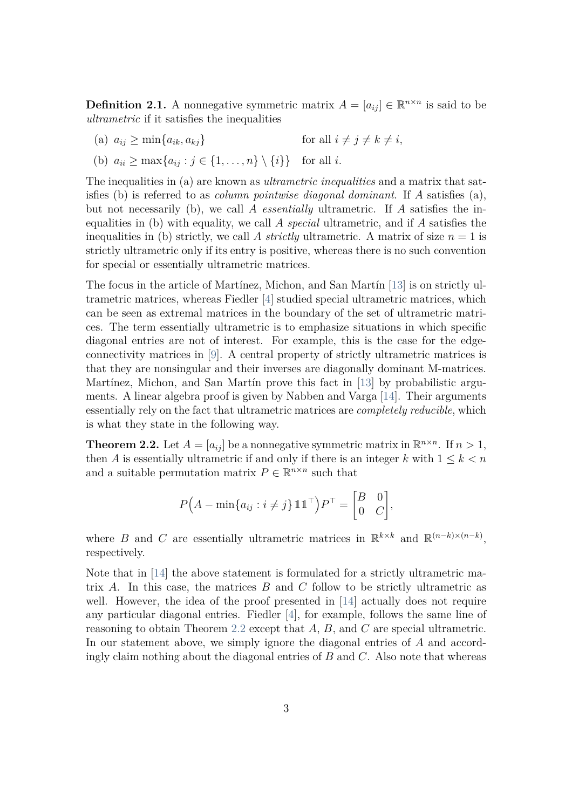**Definition 2.1.** A nonnegative symmetric matrix  $A = [a_{ij}] \in \mathbb{R}^{n \times n}$  is said to be *ultrametric* if it satisfies the inequalities

(a)  $a_{ij} \ge \min\{a_{ik}, a_{kj}\}\$  for all  $i \ne j \ne k \ne i$ ,

(b) 
$$
a_{ii} \ge \max\{a_{ij} : j \in \{1, ..., n\} \setminus \{i\}\}\
$$
 for all *i*.

The inequalities in (a) are known as *ultrametric inequalities* and a matrix that satisfies (b) is referred to as *column pointwise diagonal dominant*. If *A* satisfies (a), but not necessarily (b), we call *A essentially* ultrametric. If *A* satisfies the inequalities in (b) with equality, we call *A special* ultrametric, and if *A* satisfies the inequalities in (b) strictly, we call A *strictly* ultrametric. A matrix of size  $n = 1$  is strictly ultrametric only if its entry is positive, whereas there is no such convention for special or essentially ultrametric matrices.

The focus in the article of Martínez, Michon, and San Martín [\[13\]](#page-13-1) is on strictly ultrametric matrices, whereas Fiedler [\[4\]](#page-12-5) studied special ultrametric matrices, which can be seen as extremal matrices in the boundary of the set of ultrametric matrices. The term essentially ultrametric is to emphasize situations in which specific diagonal entries are not of interest. For example, this is the case for the edgeconnectivity matrices in [\[9\]](#page-12-2). A central property of strictly ultrametric matrices is that they are nonsingular and their inverses are diagonally dominant M-matrices. Martínez, Michon, and San Martín prove this fact in [\[13\]](#page-13-1) by probabilistic arguments. A linear algebra proof is given by Nabben and Varga [\[14\]](#page-13-4). Their arguments essentially rely on the fact that ultrametric matrices are *completely reducible*, which is what they state in the following way.

<span id="page-2-0"></span>**Theorem 2.2.** Let  $A = [a_{ij}]$  be a nonnegative symmetric matrix in  $\mathbb{R}^{n \times n}$ . If  $n > 1$ , then *A* is essentially ultrametric if and only if there is an integer *k* with  $1 \leq k \leq n$ and a suitable permutation matrix  $P \in \mathbb{R}^{n \times n}$  such that

$$
P\left(A - \min\{a_{ij} : i \neq j\} \mathbb{1} \mathbb{1}^\top\right) P^\top = \begin{bmatrix} B & 0 \\ 0 & C \end{bmatrix},
$$

where *B* and *C* are essentially ultrametric matrices in  $\mathbb{R}^{k \times k}$  and  $\mathbb{R}^{(n-k)\times (n-k)}$ , respectively.

Note that in [\[14\]](#page-13-4) the above statement is formulated for a strictly ultrametric matrix *A*. In this case, the matrices *B* and *C* follow to be strictly ultrametric as well. However, the idea of the proof presented in [\[14\]](#page-13-4) actually does not require any particular diagonal entries. Fiedler [\[4\]](#page-12-5), for example, follows the same line of reasoning to obtain Theorem [2.2](#page-2-0) except that *A*, *B*, and *C* are special ultrametric. In our statement above, we simply ignore the diagonal entries of *A* and accordingly claim nothing about the diagonal entries of *B* and *C*. Also note that whereas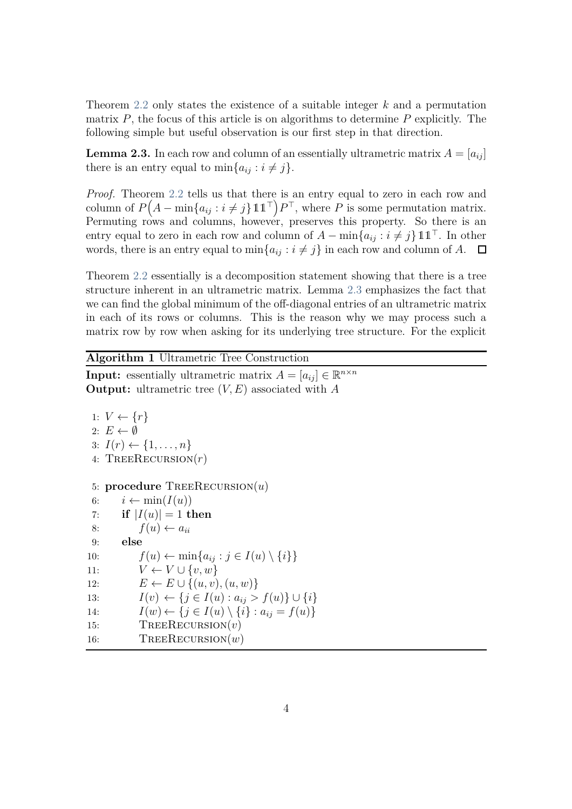Theorem [2.2](#page-2-0) only states the existence of a suitable integer *k* and a permutation matrix *P*, the focus of this article is on algorithms to determine *P* explicitly. The following simple but useful observation is our first step in that direction.

<span id="page-3-0"></span>**Lemma 2.3.** In each row and column of an essentially ultrametric matrix  $A = [a_{ij}]$ there is an entry equal to  $\min\{a_{ij}: i \neq j\}.$ 

*Proof.* Theorem [2.2](#page-2-0) tells us that there is an entry equal to zero in each row and column of  $P(A - \min\{a_{ij} : i \neq j\} \mathbb{1} \mathbb{1}^\top\} P^{\top}$ , where P is some permutation matrix. Permuting rows and columns, however, preserves this property. So there is an entry equal to zero in each row and column of  $A - \min\{a_{ij} : i \neq j\}$  11<sup>⊤</sup>. In other words, there is an entry equal to  $\min\{a_{ij}: i \neq j\}$  in each row and column of *A*.  $\Box$ 

Theorem [2.2](#page-2-0) essentially is a decomposition statement showing that there is a tree structure inherent in an ultrametric matrix. Lemma [2.3](#page-3-0) emphasizes the fact that we can find the global minimum of the off-diagonal entries of an ultrametric matrix in each of its rows or columns. This is the reason why we may process such a matrix row by row when asking for its underlying tree structure. For the explicit

<span id="page-3-2"></span><span id="page-3-1"></span>**Algorithm 1** Ultrametric Tree Construction

**Input:** essentially ultrametric matrix  $A = [a_{ij}] \in \mathbb{R}^{n \times n}$ **Output:** ultrametric tree (*V, E*) associated with *A*

```
1: V \leftarrow \{r\}2: E \leftarrow \emptyset3: I(r) \leftarrow \{1, ..., n\}4: TREERECURSION(r)5: procedure TreeRecursion(u)
 6: i \leftarrow \min(I(u))7: if |I(u)| = 1 then
 8: f(u) \leftarrow a_{ii}9: else
10: f(u) \leftarrow \min\{a_{ij} : j \in I(u) \setminus \{i\}\}\11: V \leftarrow V \cup \{v, w\}12: E \leftarrow E \cup \{(u, v), (u, w)\}\13: I(v) \leftarrow \{j \in I(u) : a_{ij} > f(u)\} \cup \{i\}14: I(w) \leftarrow \{j \in I(u) \setminus \{i\} : a_{ij} = f(u)\}15: TreeRecursion(v)
16: TREERECURSION(w)
```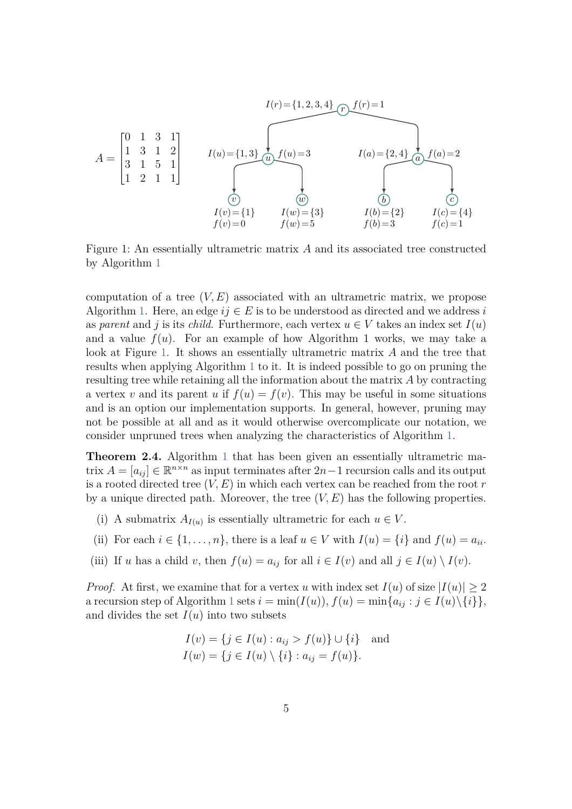<span id="page-4-0"></span>
$$
I(r) = \{1, 2, 3, 4\} \quad (r) \quad f(r) = 1
$$
\n
$$
A = \begin{bmatrix} 0 & 1 & 3 & 1 \\ 1 & 3 & 1 & 2 \\ 3 & 1 & 5 & 1 \\ 1 & 2 & 1 & 1 \end{bmatrix} \qquad I(u) = \{1, 3\} \quad \underbrace{f(u) = 3}_{(w)} \qquad \underbrace{f(u) = 3}_{(w)} \qquad \underbrace{I(a) = \{2, 4\} \quad \underbrace{f(a) = 2}_{(w)} \quad \underbrace{f(a) = 2}_{(w)} \qquad \underbrace{f(a) = 2}_{(w)} \qquad \underbrace{f(b) = \{2\}}_{(w)} \qquad \underbrace{I(c) = \{4\}}_{(w) = \{1\}} \qquad \underbrace{I(c) = \{4\}}_{(w) = 5} \qquad \underbrace{I(c) = \{4\}}_{(w) = 1} \qquad \underbrace{I(c) = \{4\}}_{(w) = 1} \qquad \underbrace{I(c) = \{1\}}_{(w) = 1} \qquad \underbrace{I(c) = \{1\}}_{(w) = 1} \qquad \underbrace{I(c) = \{1\}}_{(w) = 1} \qquad \underbrace{I(c) = \{1\}}_{(w) = 1} \qquad \underbrace{I(c) = \{1\}}_{(w) = 1} \qquad \underbrace{I(c) = \{1\}}_{(w) = 1} \qquad \underbrace{I(c) = \{1\}}_{(w) = 1} \qquad \underbrace{I(c) = \{1\}}_{(w) = 1} \qquad \underbrace{I(c) = \{1\}}_{(w) = 1} \qquad \underbrace{I(c) = \{1\}}_{(w) = 1} \qquad \underbrace{I(c) = \{1\}}_{(w) = 1} \qquad \underbrace{I(c) = \{1\}}_{(w) = 1} \qquad \underbrace{I(c) = \{1\}}_{(w) = 1} \qquad \underbrace{I(c) = \{1\}}_{(w) = 1} \qquad \underbrace{I(c) = \{1\}}_{(w) = 1} \qquad \underbrace{I(c) = \{1\}}_{(w) = 1} \qquad \underbrace{I(c) = \{1\}}_{(w) = 1} \qquad \underbrace{I(c) = \{1\
$$

Figure 1: An essentially ultrametric matrix *A* and its associated tree constructed by Algorithm [1](#page-3-1)

computation of a tree  $(V, E)$  associated with an ultrametric matrix, we propose Algorithm [1.](#page-3-1) Here, an edge  $ij \in E$  is to be understood as directed and we address *i* as *parent* and *j* is its *child*. Furthermore, each vertex  $u \in V$  takes an index set  $I(u)$ and a value  $f(u)$ . For an example of how Algorithm 1 works, we may take a look at Figure [1.](#page-4-0) It shows an essentially ultrametric matrix *A* and the tree that results when applying Algorithm [1](#page-3-1) to it. It is indeed possible to go on pruning the resulting tree while retaining all the information about the matrix *A* by contracting a vertex *v* and its parent *u* if  $f(u) = f(v)$ . This may be useful in some situations and is an option our implementation supports. In general, however, pruning may not be possible at all and as it would otherwise overcomplicate our notation, we consider unpruned trees when analyzing the characteristics of Algorithm [1.](#page-3-1)

<span id="page-4-4"></span>**Theorem 2.4.** Algorithm [1](#page-3-1) that has been given an essentially ultrametric matrix  $A = [a_{ij}] \in \mathbb{R}^{n \times n}$  as input terminates after  $2n - 1$  recursion calls and its output is a rooted directed tree  $(V, E)$  in which each vertex can be reached from the root  $r$ by a unique directed path. Moreover, the tree (*V, E*) has the following properties.

- <span id="page-4-2"></span><span id="page-4-1"></span>(i) A submatrix  $A_{I(u)}$  is essentially ultrametric for each  $u \in V$ .
- <span id="page-4-3"></span>(ii) For each  $i \in \{1, \ldots, n\}$ , there is a leaf  $u \in V$  with  $I(u) = \{i\}$  and  $f(u) = a_{ii}$ .
- (iii) If *u* has a child *v*, then  $f(u) = a_{ij}$  for all  $i \in I(v)$  and all  $j \in I(u) \setminus I(v)$ .

*Proof.* At first, we examine that for a vertex *u* with index set  $I(u)$  of size  $|I(u)| \geq 2$ a recursion step of Algorithm [1](#page-3-1) sets  $i = \min(I(u)), f(u) = \min\{a_{ij} : j \in I(u)\setminus\{i\}\},\$ and divides the set  $I(u)$  into two subsets

$$
I(v) = \{ j \in I(u) : a_{ij} > f(u) \} \cup \{ i \} \text{ and}
$$
  

$$
I(w) = \{ j \in I(u) \setminus \{ i \} : a_{ij} = f(u) \}.
$$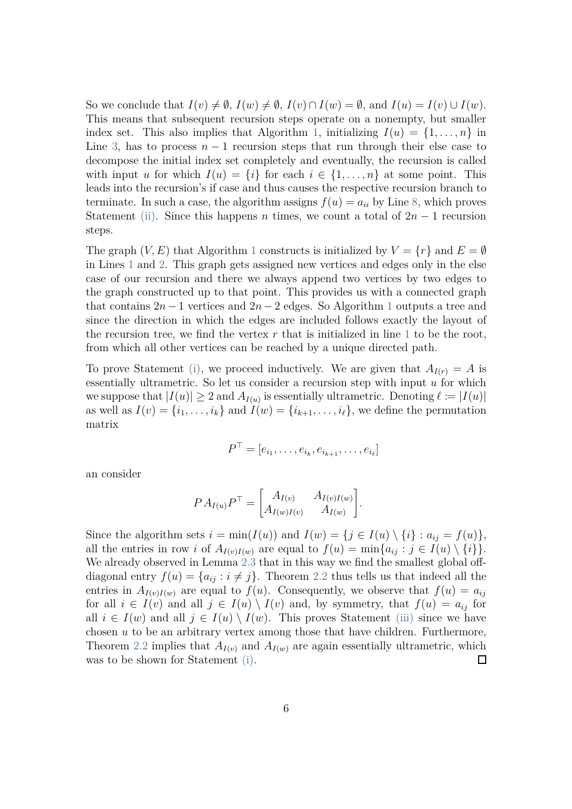So we conclude that  $I(v) \neq \emptyset$ ,  $I(w) \neq \emptyset$ ,  $I(v) \cap I(w) = \emptyset$ , and  $I(u) = I(v) \cup I(w)$ . This means that subsequent recursion steps operate on a nonempty, but smaller index set. This also implies that Algorithm [1,](#page-3-1) initializing  $I(u) = \{1, \ldots, n\}$  in Line [3,](#page-3-1) has to process  $n-1$  recursion steps that run through their else case to decompose the initial index set completely and eventually, the recursion is called with input *u* for which  $I(u) = \{i\}$  for each  $i \in \{1, \ldots, n\}$  at some point. This leads into the recursion's if case and thus causes the respective recursion branch to terminate. In such a case, the algorithm assigns  $f(u) = a_{ii}$  by Line [8,](#page-3-1) which proves Statement [\(ii\).](#page-4-1) Since this happens *n* times, we count a total of  $2n - 1$  recursion steps.

The graph  $(V, E)$  that Algorithm [1](#page-3-1) constructs is initialized by  $V = \{r\}$  and  $E = \emptyset$ in Lines [1](#page-3-1) and [2.](#page-3-1) This graph gets assigned new vertices and edges only in the else case of our recursion and there we always append two vertices by two edges to the graph constructed up to that point. This provides us with a connected graph that contains  $2n-1$  $2n-1$  vertices and  $2n-2$  edges. So Algorithm 1 outputs a tree and since the direction in which the edges are included follows exactly the layout of the recursion tree, we find the vertex  $r$  that is initialized in line [1](#page-3-1) to be the root, from which all other vertices can be reached by a unique directed path.

To prove Statement [\(i\),](#page-4-2) we proceed inductively. We are given that  $A_{I(r)} = A$  is essentially ultrametric. So let us consider a recursion step with input *u* for which we suppose that  $|I(u)| \geq 2$  and  $A_{I(u)}$  is essentially ultrametric. Denoting  $\ell := |I(u)|$ as well as  $I(v) = \{i_1, \ldots, i_k\}$  and  $I(w) = \{i_{k+1}, \ldots, i_\ell\}$ , we define the permutation matrix

$$
P^{\top} = [e_{i_1}, \dots, e_{i_k}, e_{i_{k+1}}, \dots, e_{i_{\ell}}]
$$

an consider

$$
PA_{I(u)}P^{\top} = \begin{bmatrix} A_{I(v)} & A_{I(v)I(w)} \\ A_{I(w)I(v)} & A_{I(w)} \end{bmatrix}.
$$

Since the algorithm sets  $i = \min(I(u))$  and  $I(w) = \{j \in I(u) \setminus \{i\} : a_{ij} = f(u)\},\$ all the entries in row *i* of  $A_{I(v)I(w)}$  are equal to  $f(u) = \min\{a_{ij} : j \in I(u) \setminus \{i\}\}.$ We already observed in Lemma [2.3](#page-3-0) that in this way we find the smallest global offdiagonal entry  $f(u) = \{a_{ij} : i \neq j\}$ . Theorem [2.2](#page-2-0) thus tells us that indeed all the entries in  $A_{I(v)I(w)}$  are equal to  $f(u)$ . Consequently, we observe that  $f(u) = a_{ij}$ for all  $i \in I(v)$  and all  $j \in I(u) \setminus I(v)$  and, by symmetry, that  $f(u) = a_{ij}$  for all  $i \in I(w)$  and all  $j \in I(u) \setminus I(w)$ . This proves Statement [\(iii\)](#page-4-3) since we have chosen *u* to be an arbitrary vertex among those that have children. Furthermore, Theorem [2.2](#page-2-0) implies that  $A_{I(v)}$  and  $A_{I(w)}$  are again essentially ultrametric, which was to be shown for Statement [\(i\).](#page-4-2)  $\Box$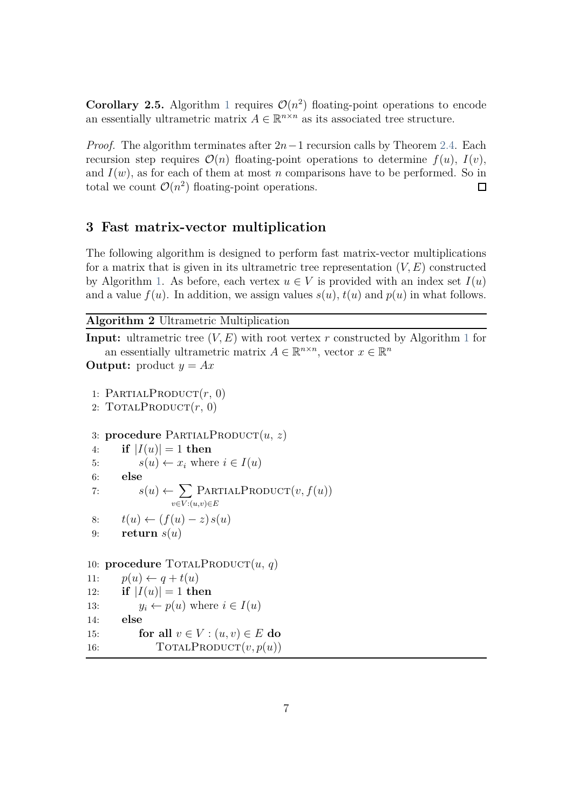<span id="page-6-2"></span>**Corollary 2.5.** Algorithm [1](#page-3-1) requires  $\mathcal{O}(n^2)$  floating-point operations to encode an essentially ultrametric matrix  $A \in \mathbb{R}^{n \times n}$  as its associated tree structure.

*Proof.* The algorithm terminates after 2*n*−1 recursion calls by Theorem [2.4.](#page-4-4) Each recursion step requires  $\mathcal{O}(n)$  floating-point operations to determine  $f(u)$ ,  $I(v)$ , and  $I(w)$ , as for each of them at most *n* comparisons have to be performed. So in total we count  $\mathcal{O}(n^2)$  floating-point operations.  $\Box$ 

#### <span id="page-6-0"></span>**3 Fast matrix-vector multiplication**

The following algorithm is designed to perform fast matrix-vector multiplications for a matrix that is given in its ultrametric tree representation  $(V, E)$  constructed by Algorithm [1.](#page-3-1) As before, each vertex  $u \in V$  is provided with an index set  $I(u)$ and a value  $f(u)$ . In addition, we assign values  $s(u)$ ,  $t(u)$  and  $p(u)$  in what follows.

<span id="page-6-3"></span><span id="page-6-1"></span>**Algorithm 2** Ultrametric Multiplication

**Input:** ultrametric tree  $(V, E)$  with root vertex *r* constructed by Algorithm [1](#page-3-1) for an essentially ultrametric matrix  $A \in \mathbb{R}^{n \times n}$ , vector  $x \in \mathbb{R}^n$ 

```
Output: product y = Ax
```

```
1: PARTIALPRODUCT(r, 0)2: TOTALPRODUCT(r, 0)3: procedure PARTIALPRODUCT(u, z)4: if |I(u)| = 1 then
5: s(u) \leftarrow x_i where i \in I(u)6: else
 7: s(u) \leftarrow \sumv∈V :(u,v)∈E
                     PartialProduct(v, f(u))
8: t(u) \leftarrow (f(u) - z) s(u)9: return s(u)
10: procedure TOTALPRODUCT(u, q)11: p(u) \leftarrow q + t(u)12: if |I(u)| = 1 then
```
13:  $y_i \leftarrow p(u)$  where  $i \in I(u)$ 

14: **else**

15: **for all**  $v \in V : (u, v) \in E$  **do** 

16:  $\text{TotalPRODUCT}(v, p(u))$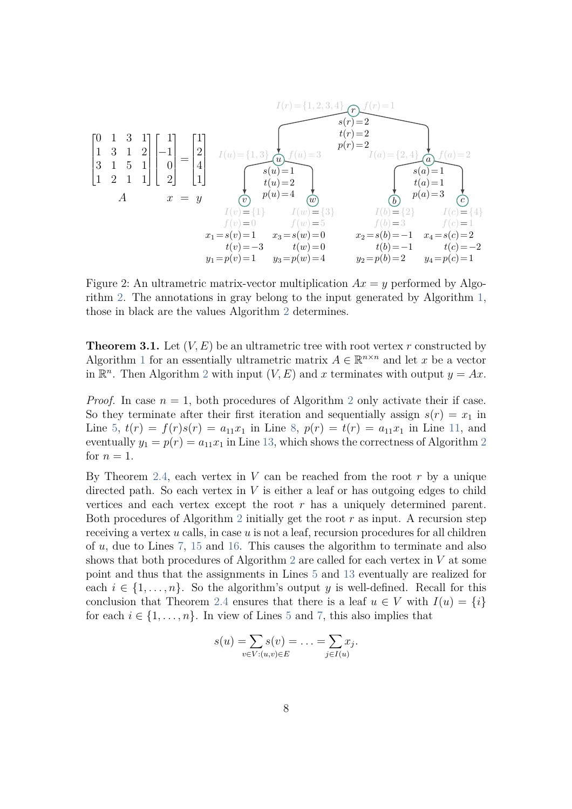$$
\begin{bmatrix}\n0 & 1 & 3 & 1 \\
1 & 3 & 1 & 2 \\
3 & 1 & 5 & 1 \\
1 & 2 & 1 & 1\n\end{bmatrix}\n\begin{bmatrix}\n1 \\
-1 \\
0 \\
2\n\end{bmatrix} =\n\begin{bmatrix}\n1 \\
2 \\
4 \\
1\n\end{bmatrix}
$$
\n
$$
\begin{aligned}\nI(u) &= \{1, 3\} \\
I(u) &= \{1, 3\} \\
I(u) &= 2 \\
I(u) &= 2 \\
I(u) &= 2 \\
I(u) &= 1 \\
I(u) &= 1\n\end{aligned}
$$
\n
$$
\begin{aligned}\n\text{where } f(u) = 1 \\
\text{where } f(u) = 2 \\
I(u) = \{2, 4\} \\
I(u) = 1 \\
I(u) = \{1, 3\} \\
I(u) = \{2, 4\} \\
I(u) = 1 \\
I(u) = \{1, 4\} \\
I(u) = 1 \\
I(u) = \{3\} \\
I(u) = \{3\} \\
I(u) = \{2\} \\
I(v) = \{4\} \\
I(v) = 0 \\
I(v) = -3 \\
I(v) = -3 \\
I(v) = -3 \\
I(v) = -3 \\
I(v) = -3 \\
I(v) = -3 \\
I(v) = -3 \\
I(v) = -3 \\
I(v) = -3 \\
I(v) = -1 \\
I(v) = -1 \\
I(v) = -1 \\
I(v) = -1 \\
I(v) = -1 \\
I(v) = -1 \\
I(v) = -2 \\
I(v) = -2 \\
I(v) = -1 \\
I(v) = -2 \\
I(v) = -1 \\
I(v) = -2 \\
I(v) = -1 \\
I(v) = -1 \\
I(v) = -2 \\
I(v) = -1 \\
I(v) = -1 \\
I(v) = -1 \\
I(v) = -1 \\
I(v) = -1 \\
I(v) = -1 \\
I(v) = -1 \\
I(v) = -1 \\
I(v) = -1 \\
I(v) = -1\n\end{bmatrix}
$$

Figure 2: An ultrametric matrix-vector multiplication  $Ax = y$  performed by Algorithm [2.](#page-6-1) The annotations in gray belong to the input generated by Algorithm [1,](#page-3-1) those in black are the values Algorithm [2](#page-6-1) determines.

**Theorem 3.1.** Let  $(V, E)$  be an ultrametric tree with root vertex  $r$  constructed by Algorithm [1](#page-3-1) for an essentially ultrametric matrix  $A \in \mathbb{R}^{n \times n}$  and let *x* be a vector in  $\mathbb{R}^n$ . Then Algorithm [2](#page-6-1) with input  $(V, E)$  and x terminates with output  $y = Ax$ .

*Proof.* In case  $n = 1$ , both procedures of Algorithm [2](#page-6-1) only activate their if case. So they terminate after their first iteration and sequentially assign  $s(r) = x_1$  in Line [5,](#page-6-1)  $t(r) = f(r)s(r) = a_{11}x_1$  in Line [8,](#page-6-1)  $p(r) = t(r) = a_{11}x_1$  in Line [11,](#page-6-1) and eventually  $y_1 = p(r) = a_{11}x_1$  in Line [13,](#page-6-1) which shows the correctness of Algorithm [2](#page-6-1) for  $n=1$ .

By Theorem [2.4,](#page-4-4) each vertex in  $V$  can be reached from the root  $r$  by a unique directed path. So each vertex in *V* is either a leaf or has outgoing edges to child vertices and each vertex except the root *r* has a uniquely determined parent. Both procedures of Algorithm [2](#page-6-1) initially get the root *r* as input. A recursion step receiving a vertex *u* calls, in case *u* is not a leaf, recursion procedures for all children of *u*, due to Lines [7,](#page-6-1) [15](#page-6-1) and [16.](#page-6-1) This causes the algorithm to terminate and also shows that both procedures of Algorithm [2](#page-6-1) are called for each vertex in *V* at some point and thus that the assignments in Lines [5](#page-6-1) and [13](#page-6-1) eventually are realized for each  $i \in \{1, \ldots, n\}$ . So the algorithm's output *y* is well-defined. Recall for this conclusion that Theorem [2.4](#page-4-4) ensures that there is a leaf  $u \in V$  with  $I(u) = \{i\}$ for each  $i \in \{1, \ldots, n\}$ . In view of Lines [5](#page-6-1) and [7,](#page-6-1) this also implies that

$$
s(u) = \sum_{v \in V: (u,v) \in E} s(v) = \ldots = \sum_{j \in I(u)} x_j.
$$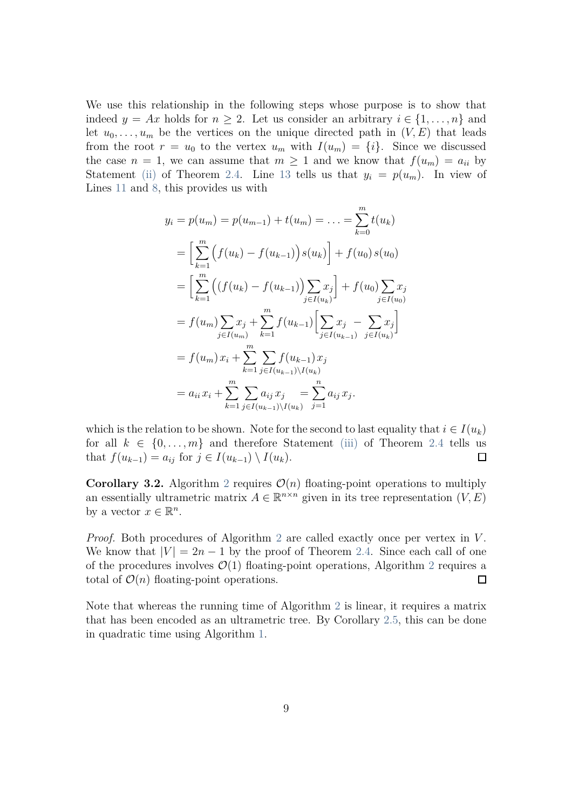We use this relationship in the following steps whose purpose is to show that indeed  $y = Ax$  holds for  $n \geq 2$ . Let us consider an arbitrary  $i \in \{1, ..., n\}$  and let  $u_0, \ldots, u_m$  be the vertices on the unique directed path in  $(V, E)$  that leads from the root  $r = u_0$  to the vertex  $u_m$  with  $I(u_m) = \{i\}$ . Since we discussed the case  $n = 1$ , we can assume that  $m \geq 1$  and we know that  $f(u_m) = a_{ii}$  by Statement [\(ii\)](#page-4-1) of Theorem [2.4.](#page-4-4) Line [13](#page-6-1) tells us that  $y_i = p(u_m)$ . In view of Lines [11](#page-6-1) and [8,](#page-6-1) this provides us with

$$
y_i = p(u_m) = p(u_{m-1}) + t(u_m) = \dots = \sum_{k=0}^m t(u_k)
$$
  
\n
$$
= \left[ \sum_{k=1}^m \left( f(u_k) - f(u_{k-1}) \right) s(u_k) \right] + f(u_0) s(u_0)
$$
  
\n
$$
= \left[ \sum_{k=1}^m \left( \left( f(u_k) - f(u_{k-1}) \right) \sum_{j \in I(u_k)} x_j \right] + f(u_0) \sum_{j \in I(u_0)} x_j
$$
  
\n
$$
= f(u_m) \sum_{j \in I(u_m)} x_j + \sum_{k=1}^m f(u_{k-1}) \left[ \sum_{j \in I(u_{k-1})} x_j - \sum_{j \in I(u_k)} x_j \right]
$$
  
\n
$$
= f(u_m) x_i + \sum_{k=1}^m \sum_{j \in I(u_{k-1}) \setminus I(u_k)} f(u_{k-1})
$$
  
\n
$$
= a_{ii} x_i + \sum_{k=1}^m \sum_{j \in I(u_{k-1}) \setminus I(u_k)} a_{ij} x_j
$$
  
\n
$$
= \sum_{k=1}^m \sum_{j \in I(u_{k-1}) \setminus I(u_k)} a_{ij} x_j
$$

which is the relation to be shown. Note for the second to last equality that  $i \in I(u_k)$ for all  $k \in \{0, \ldots, m\}$  and therefore Statement [\(iii\)](#page-4-3) of Theorem [2.4](#page-4-4) tells us that  $f(u_{k-1}) = a_{ij}$  for  $j \in I(u_{k-1}) \setminus I(u_k)$ .  $\Box$ 

**Corollary 3.[2](#page-6-1).** Algorithm 2 requires  $\mathcal{O}(n)$  floating-point operations to multiply an essentially ultrametric matrix  $A \in \mathbb{R}^{n \times n}$  given in its tree representation  $(V, E)$ by a vector  $x \in \mathbb{R}^n$ .

*Proof.* Both procedures of Algorithm [2](#page-6-1) are called exactly once per vertex in *V* . We know that  $|V| = 2n - 1$  by the proof of Theorem [2.4.](#page-4-4) Since each call of one of the procedures involves  $\mathcal{O}(1)$  floating-point operations, Algorithm [2](#page-6-1) requires a total of  $\mathcal{O}(n)$  floating-point operations.  $\Box$ 

Note that whereas the running time of Algorithm [2](#page-6-1) is linear, it requires a matrix that has been encoded as an ultrametric tree. By Corollary [2.5,](#page-6-2) this can be done in quadratic time using Algorithm [1.](#page-3-1)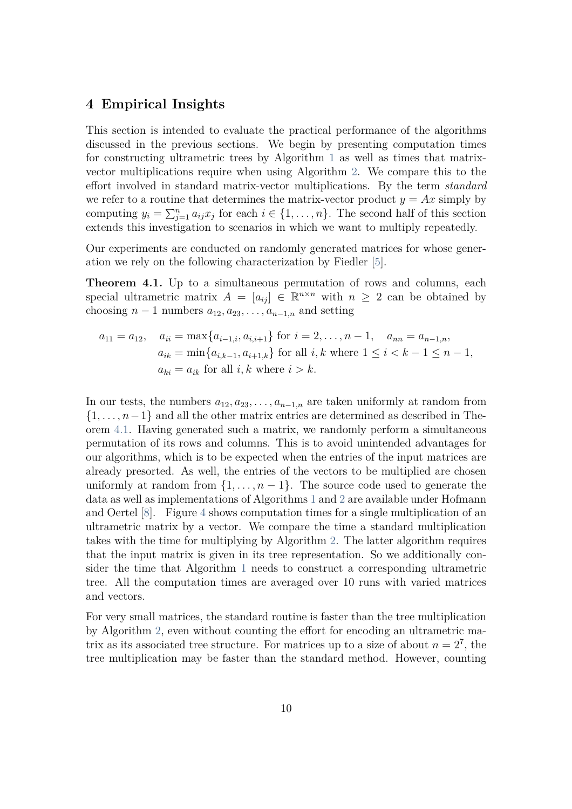### <span id="page-9-0"></span>**4 Empirical Insights**

This section is intended to evaluate the practical performance of the algorithms discussed in the previous sections. We begin by presenting computation times for constructing ultrametric trees by Algorithm [1](#page-3-1) as well as times that matrixvector multiplications require when using Algorithm [2.](#page-6-1) We compare this to the effort involved in standard matrix-vector multiplications. By the term *standard* we refer to a routine that determines the matrix-vector product  $y = Ax$  simply by computing  $y_i = \sum_{j=1}^n a_{ij} x_j$  for each  $i \in \{1, ..., n\}$ . The second half of this section extends this investigation to scenarios in which we want to multiply repeatedly.

Our experiments are conducted on randomly generated matrices for whose generation we rely on the following characterization by Fiedler [\[5\]](#page-12-6).

<span id="page-9-1"></span>**Theorem 4.1.** Up to a simultaneous permutation of rows and columns, each special ultrametric matrix  $A = [a_{ij}] \in \mathbb{R}^{n \times n}$  with  $n \geq 2$  can be obtained by choosing  $n-1$  numbers  $a_{12}, a_{23}, \ldots, a_{n-1,n}$  and setting

$$
a_{11} = a_{12}, \quad a_{ii} = \max\{a_{i-1,i}, a_{i,i+1}\} \text{ for } i = 2, ..., n-1, \quad a_{nn} = a_{n-1,n},
$$
  
\n
$$
a_{ik} = \min\{a_{i,k-1}, a_{i+1,k}\} \text{ for all } i,k \text{ where } 1 \le i < k-1 \le n-1,
$$
  
\n
$$
a_{ki} = a_{ik} \text{ for all } i,k \text{ where } i > k.
$$

In our tests, the numbers  $a_{12}, a_{23}, \ldots, a_{n-1,n}$  are taken uniformly at random from {1*, . . . , n*−1} and all the other matrix entries are determined as described in Theorem [4.1.](#page-9-1) Having generated such a matrix, we randomly perform a simultaneous permutation of its rows and columns. This is to avoid unintended advantages for our algorithms, which is to be expected when the entries of the input matrices are already presorted. As well, the entries of the vectors to be multiplied are chosen uniformly at random from  $\{1, \ldots, n-1\}$ . The source code used to generate the data as well as implementations of Algorithms [1](#page-3-1) and [2](#page-6-1) are available under Hofmann and Oertel [\[8\]](#page-12-7). Figure [4](#page-10-0) shows computation times for a single multiplication of an ultrametric matrix by a vector. We compare the time a standard multiplication takes with the time for multiplying by Algorithm [2.](#page-6-1) The latter algorithm requires that the input matrix is given in its tree representation. So we additionally consider the time that Algorithm [1](#page-3-1) needs to construct a corresponding ultrametric tree. All the computation times are averaged over 10 runs with varied matrices and vectors.

For very small matrices, the standard routine is faster than the tree multiplication by Algorithm [2,](#page-6-1) even without counting the effort for encoding an ultrametric matrix as its associated tree structure. For matrices up to a size of about  $n = 2^7$ , the tree multiplication may be faster than the standard method. However, counting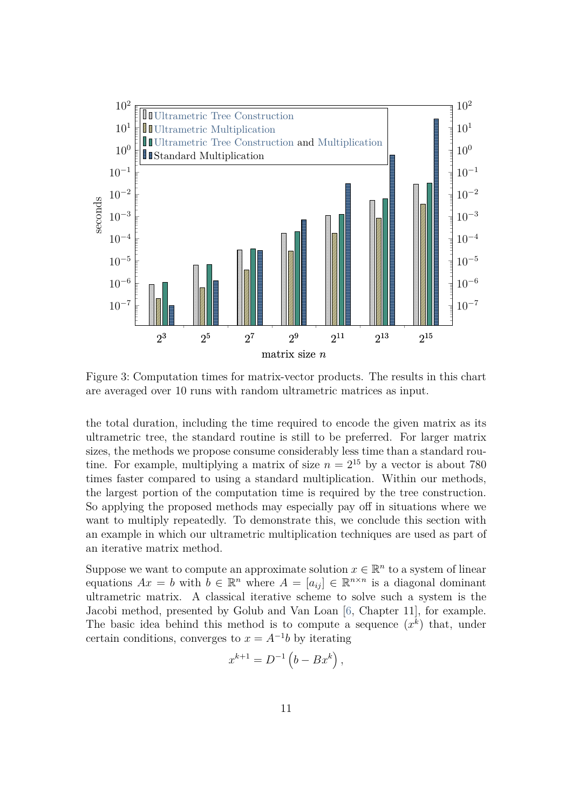<span id="page-10-0"></span>

Figure 3: Computation times for matrix-vector products. The results in this chart are averaged over 10 runs with random ultrametric matrices as input.

the total duration, including the time required to encode the given matrix as its ultrametric tree, the standard routine is still to be preferred. For larger matrix sizes, the methods we propose consume considerably less time than a standard routine. For example, multiplying a matrix of size  $n = 2^{15}$  by a vector is about 780 times faster compared to using a standard multiplication. Within our methods, the largest portion of the computation time is required by the tree construction. So applying the proposed methods may especially pay off in situations where we want to multiply repeatedly. To demonstrate this, we conclude this section with an example in which our ultrametric multiplication techniques are used as part of an iterative matrix method.

Suppose we want to compute an approximate solution  $x \in \mathbb{R}^n$  to a system of linear equations  $Ax = b$  with  $b \in \mathbb{R}^n$  where  $A = [a_{ij}] \in \mathbb{R}^{n \times n}$  is a diagonal dominant ultrametric matrix. A classical iterative scheme to solve such a system is the Jacobi method, presented by Golub and Van Loan [\[6,](#page-12-8) Chapter 11], for example. The basic idea behind this method is to compute a sequence  $(x^k)$  that, under certain conditions, converges to  $x = A^{-1}b$  by iterating

$$
x^{k+1} = D^{-1} \left( b - B x^k \right),
$$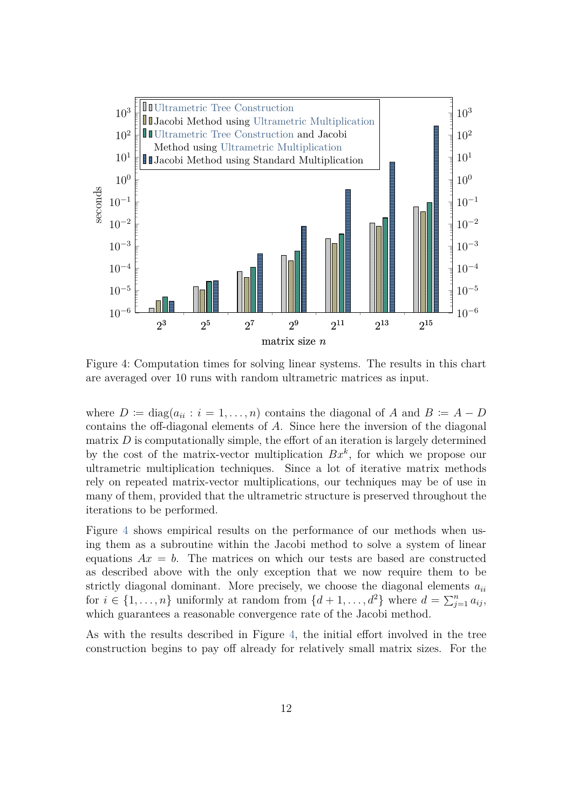<span id="page-11-0"></span>

Figure 4: Computation times for solving linear systems. The results in this chart are averaged over 10 runs with random ultrametric matrices as input.

where  $D := diag(a_{ii} : i = 1, \ldots, n)$  contains the diagonal of *A* and  $B := A - D$ contains the off-diagonal elements of *A*. Since here the inversion of the diagonal matrix  $D$  is computationally simple, the effort of an iteration is largely determined by the cost of the matrix-vector multiplication *Bx<sup>k</sup>* , for which we propose our ultrametric multiplication techniques. Since a lot of iterative matrix methods rely on repeated matrix-vector multiplications, our techniques may be of use in many of them, provided that the ultrametric structure is preserved throughout the iterations to be performed.

Figure [4](#page-11-0) shows empirical results on the performance of our methods when using them as a subroutine within the Jacobi method to solve a system of linear equations  $Ax = b$ . The matrices on which our tests are based are constructed as described above with the only exception that we now require them to be strictly diagonal dominant. More precisely, we choose the diagonal elements *aii* for  $i \in \{1, \ldots, n\}$  uniformly at random from  $\{d+1, \ldots, d^2\}$  where  $d = \sum_{j=1}^n a_{ij}$ , which guarantees a reasonable convergence rate of the Jacobi method.

As with the results described in Figure [4,](#page-10-0) the initial effort involved in the tree construction begins to pay off already for relatively small matrix sizes. For the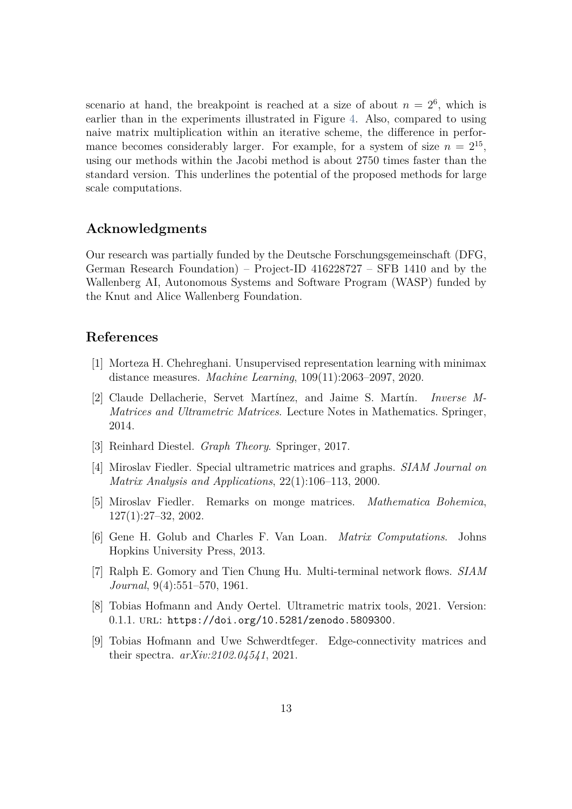scenario at hand, the breakpoint is reached at a size of about  $n = 2<sup>6</sup>$ , which is earlier than in the experiments illustrated in Figure [4.](#page-10-0) Also, compared to using naive matrix multiplication within an iterative scheme, the difference in performance becomes considerably larger. For example, for a system of size  $n = 2^{15}$ , using our methods within the Jacobi method is about 2750 times faster than the standard version. This underlines the potential of the proposed methods for large scale computations.

## **Acknowledgments**

Our research was partially funded by the Deutsche Forschungsgemeinschaft (DFG, German Research Foundation) – Project-ID 416228727 – SFB 1410 and by the Wallenberg AI, Autonomous Systems and Software Program (WASP) funded by the Knut and Alice Wallenberg Foundation.

### <span id="page-12-3"></span>**References**

- <span id="page-12-0"></span>[1] Morteza H. Chehreghani. Unsupervised representation learning with minimax distance measures. *Machine Learning*, 109(11):2063–2097, 2020.
- [2] Claude Dellacherie, Servet Martínez, and Jaime S. Martín. *Inverse M-Matrices and Ultrametric Matrices*. Lecture Notes in Mathematics. Springer, 2014.
- <span id="page-12-5"></span><span id="page-12-4"></span>[3] Reinhard Diestel. *Graph Theory*. Springer, 2017.
- <span id="page-12-6"></span>[4] Miroslav Fiedler. Special ultrametric matrices and graphs. *SIAM Journal on Matrix Analysis and Applications*, 22(1):106–113, 2000.
- <span id="page-12-8"></span>[5] Miroslav Fiedler. Remarks on monge matrices. *Mathematica Bohemica*, 127(1):27–32, 2002.
- <span id="page-12-1"></span>[6] Gene H. Golub and Charles F. Van Loan. *Matrix Computations*. Johns Hopkins University Press, 2013.
- <span id="page-12-7"></span>[7] Ralph E. Gomory and Tien Chung Hu. Multi-terminal network flows. *SIAM Journal*, 9(4):551–570, 1961.
- <span id="page-12-2"></span>[8] Tobias Hofmann and Andy Oertel. Ultrametric matrix tools, 2021. Version: 0.1.1. url: <https://doi.org/10.5281/zenodo.5809300>.
- [9] Tobias Hofmann and Uwe Schwerdtfeger. Edge-connectivity matrices and their spectra. *arXiv:2102.04541*, 2021.